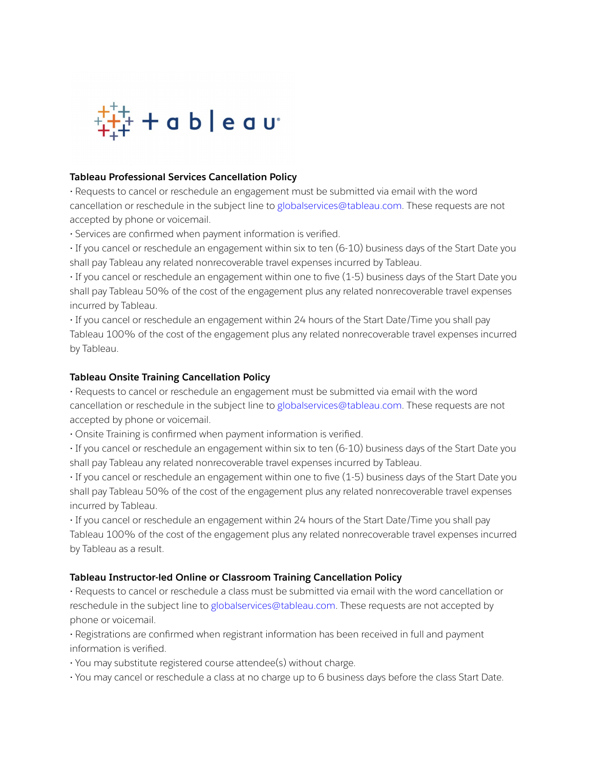

### **Tableau Professional Services Cancellation Policy**

• Requests to cancel or reschedule an engagement must be submitted via email with the word cancellation or reschedule in the subject line to globalservices@tableau.com. These requests are not accepted by phone or voicemail.

• Services are confirmed when payment information is verified.

• If you cancel or reschedule an engagement within six to ten (6-10) business days of the Start Date you shall pay Tableau any related nonrecoverable travel expenses incurred by Tableau.

• If you cancel or reschedule an engagement within one to five (1-5) business days of the Start Date you shall pay Tableau 50% of the cost of the engagement plus any related nonrecoverable travel expenses incurred by Tableau.

• If you cancel or reschedule an engagement within 24 hours of the Start Date/Time you shall pay Tableau 100% of the cost of the engagement plus any related nonrecoverable travel expenses incurred by Tableau.

## **Tableau Onsite Training Cancellation Policy**

• Requests to cancel or reschedule an engagement must be submitted via email with the word cancellation or reschedule in the subject line to globalservices@tableau.com. These requests are not accepted by phone or voicemail.

• Onsite Training is confirmed when payment information is verified.

• If you cancel or reschedule an engagement within six to ten (6-10) business days of the Start Date you shall pay Tableau any related nonrecoverable travel expenses incurred by Tableau.

• If you cancel or reschedule an engagement within one to five (1-5) business days of the Start Date you shall pay Tableau 50% of the cost of the engagement plus any related nonrecoverable travel expenses incurred by Tableau.

• If you cancel or reschedule an engagement within 24 hours of the Start Date/Time you shall pay Tableau 100% of the cost of the engagement plus any related nonrecoverable travel expenses incurred by Tableau as a result.

#### **Tableau Instructor-led Online or Classroom Training Cancellation Policy**

• Requests to cancel or reschedule a class must be submitted via email with the word cancellation or reschedule in the subject line to globalservices@tableau.com. These requests are not accepted by phone or voicemail.

• Registrations are confirmed when registrant information has been received in full and payment information is verified.

• You may substitute registered course attendee(s) without charge.

• You may cancel or reschedule a class at no charge up to 6 business days before the class Start Date.